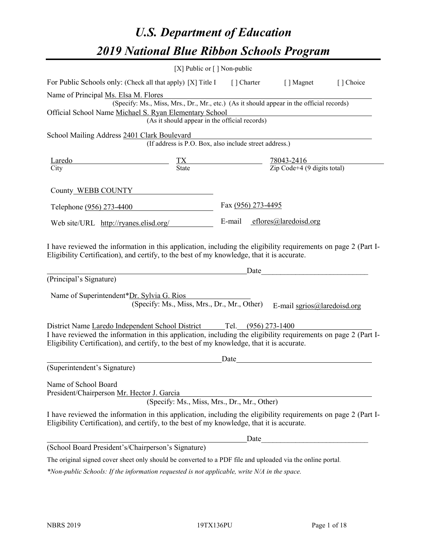# *U.S. Department of Education 2019 National Blue Ribbon Schools Program*

|                                                                                                                                                                                                                                                                                      | [X] Public or $\lceil$ ] Non-public                    |                    |                                                                                                                                                                                                                                                              |           |
|--------------------------------------------------------------------------------------------------------------------------------------------------------------------------------------------------------------------------------------------------------------------------------------|--------------------------------------------------------|--------------------|--------------------------------------------------------------------------------------------------------------------------------------------------------------------------------------------------------------------------------------------------------------|-----------|
| For Public Schools only: (Check all that apply) [X] Title I [] Charter [] Magnet                                                                                                                                                                                                     |                                                        |                    |                                                                                                                                                                                                                                                              | [] Choice |
| Name of Principal Ms. Elsa M. Flores<br>Official School Name Michael S. Ryan Elementary School                                                                                                                                                                                       | (As it should appear in the official records)          |                    | (Specify: Ms., Miss, Mrs., Dr., Mr., etc.) (As it should appear in the official records)                                                                                                                                                                     |           |
| School Mailing Address 2401 Clark Boulevard                                                                                                                                                                                                                                          | (If address is P.O. Box, also include street address.) |                    |                                                                                                                                                                                                                                                              |           |
| $\frac{\text{Largedo}}{\text{City}}$ $\frac{\text{TX}}{\text{State}}$ $\frac{78043-2416}{\text{Zip Code}+4 (9 \text{ digits total})}$                                                                                                                                                |                                                        |                    |                                                                                                                                                                                                                                                              |           |
| County WEBB COUNTY                                                                                                                                                                                                                                                                   |                                                        |                    |                                                                                                                                                                                                                                                              |           |
| Telephone (956) 273-4400                                                                                                                                                                                                                                                             |                                                        | Fax (956) 273-4495 |                                                                                                                                                                                                                                                              |           |
| Web site/URL http://ryanes.elisd.org/                                                                                                                                                                                                                                                |                                                        |                    | E-mail effores@laredoisd.org                                                                                                                                                                                                                                 |           |
| Eligibility Certification), and certify, to the best of my knowledge, that it is accurate.<br>(Principal's Signature)<br>Name of Superintendent*Dr. Sylvia G. Rios                                                                                                                   | (Specify: Ms., Miss, Mrs., Dr., Mr., Other)            |                    | Date and the set of the set of the set of the set of the set of the set of the set of the set of the set of the set of the set of the set of the set of the set of the set of the set of the set of the set of the set of the<br>E-mail sgrios@laredoisd.org |           |
| District Name Laredo Independent School District Tel. (956) 273-1400<br>I have reviewed the information in this application, including the eligibility requirements on page 2 (Part I-<br>Eligibility Certification), and certify, to the best of my knowledge, that it is accurate. |                                                        |                    |                                                                                                                                                                                                                                                              |           |
| (Superintendent's Signature)                                                                                                                                                                                                                                                         |                                                        | Date               |                                                                                                                                                                                                                                                              |           |
| Name of School Board<br>President/Chairperson Mr. Hector J. Garcia                                                                                                                                                                                                                   | (Specify: Ms., Miss, Mrs., Dr., Mr., Other)            |                    |                                                                                                                                                                                                                                                              |           |
| I have reviewed the information in this application, including the eligibility requirements on page 2 (Part I-<br>Eligibility Certification), and certify, to the best of my knowledge, that it is accurate.                                                                         |                                                        |                    |                                                                                                                                                                                                                                                              |           |
|                                                                                                                                                                                                                                                                                      |                                                        |                    | Date                                                                                                                                                                                                                                                         |           |
| (School Board President's/Chairperson's Signature)                                                                                                                                                                                                                                   |                                                        |                    |                                                                                                                                                                                                                                                              |           |
| The original signed cover sheet only should be converted to a PDF file and uploaded via the online portal.                                                                                                                                                                           |                                                        |                    |                                                                                                                                                                                                                                                              |           |

*\*Non-public Schools: If the information requested is not applicable, write N/A in the space.*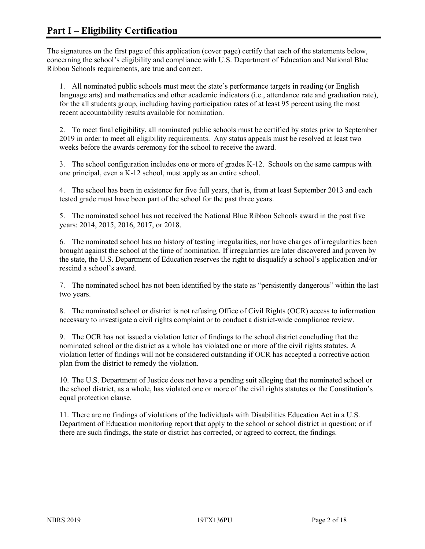The signatures on the first page of this application (cover page) certify that each of the statements below, concerning the school's eligibility and compliance with U.S. Department of Education and National Blue Ribbon Schools requirements, are true and correct.

1. All nominated public schools must meet the state's performance targets in reading (or English language arts) and mathematics and other academic indicators (i.e., attendance rate and graduation rate), for the all students group, including having participation rates of at least 95 percent using the most recent accountability results available for nomination.

2. To meet final eligibility, all nominated public schools must be certified by states prior to September 2019 in order to meet all eligibility requirements. Any status appeals must be resolved at least two weeks before the awards ceremony for the school to receive the award.

3. The school configuration includes one or more of grades K-12. Schools on the same campus with one principal, even a K-12 school, must apply as an entire school.

4. The school has been in existence for five full years, that is, from at least September 2013 and each tested grade must have been part of the school for the past three years.

5. The nominated school has not received the National Blue Ribbon Schools award in the past five years: 2014, 2015, 2016, 2017, or 2018.

6. The nominated school has no history of testing irregularities, nor have charges of irregularities been brought against the school at the time of nomination. If irregularities are later discovered and proven by the state, the U.S. Department of Education reserves the right to disqualify a school's application and/or rescind a school's award.

7. The nominated school has not been identified by the state as "persistently dangerous" within the last two years.

8. The nominated school or district is not refusing Office of Civil Rights (OCR) access to information necessary to investigate a civil rights complaint or to conduct a district-wide compliance review.

9. The OCR has not issued a violation letter of findings to the school district concluding that the nominated school or the district as a whole has violated one or more of the civil rights statutes. A violation letter of findings will not be considered outstanding if OCR has accepted a corrective action plan from the district to remedy the violation.

10. The U.S. Department of Justice does not have a pending suit alleging that the nominated school or the school district, as a whole, has violated one or more of the civil rights statutes or the Constitution's equal protection clause.

11. There are no findings of violations of the Individuals with Disabilities Education Act in a U.S. Department of Education monitoring report that apply to the school or school district in question; or if there are such findings, the state or district has corrected, or agreed to correct, the findings.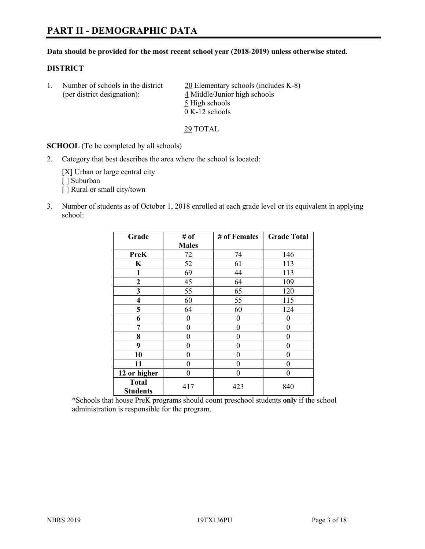#### **Data should be provided for the most recent school year (2018-2019) unless otherwise stated.**

# **DISTRICT**

1. Number of schools in the district  $20$  Elementary schools (includes K-8) (per district designation): 4 Middle/Junior high schools 5 High schools 0 K-12 schools

29 TOTAL

**SCHOOL** (To be completed by all schools)

2. Category that best describes the area where the school is located:

[X] Urban or large central city [ ] Suburban [] Rural or small city/town

3. Number of students as of October 1, 2018 enrolled at each grade level or its equivalent in applying school:

| Grade                           | # of         | # of Females   | <b>Grade Total</b> |
|---------------------------------|--------------|----------------|--------------------|
|                                 | <b>Males</b> |                |                    |
| <b>PreK</b>                     | 72           | 74             | 146                |
| K                               | 52           | 61             | 113                |
| 1                               | 69           | 44             | 113                |
| $\mathbf{2}$                    | 45           | 64             | 109                |
| 3                               | 55           | 65             | 120                |
| 4                               | 60           | 55             | 115                |
| 5                               | 64           | 60             | 124                |
| 6                               | 0            | $\theta$       | 0                  |
| 7                               | 0            | $\theta$       | 0                  |
| 8                               | 0            | 0              | 0                  |
| 9                               | 0            | $\overline{0}$ | 0                  |
| 10                              | 0            | $\theta$       | 0                  |
| 11                              | 0            | $\theta$       | 0                  |
| 12 or higher                    | 0            | $\theta$       | 0                  |
| <b>Total</b><br><b>Students</b> | 417          | 423            | 840                |

\*Schools that house PreK programs should count preschool students **only** if the school administration is responsible for the program.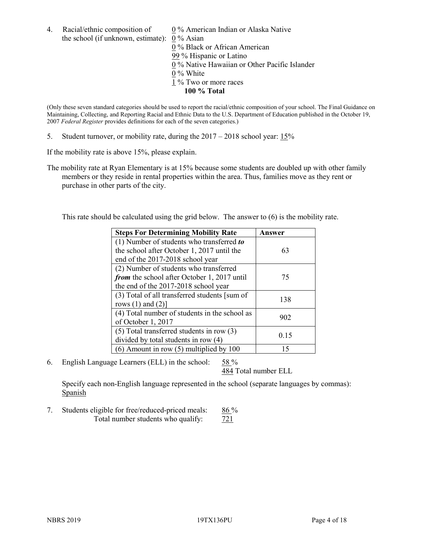4. Racial/ethnic composition of  $0\%$  American Indian or Alaska Native the school (if unknown, estimate): 0 % Asian 0 % Black or African American 99 % Hispanic or Latino

0 % Native Hawaiian or Other Pacific Islander

- 0 % White
- 1 % Two or more races
	- **100 % Total**

(Only these seven standard categories should be used to report the racial/ethnic composition of your school. The Final Guidance on Maintaining, Collecting, and Reporting Racial and Ethnic Data to the U.S. Department of Education published in the October 19, 2007 *Federal Register* provides definitions for each of the seven categories.)

5. Student turnover, or mobility rate, during the 2017 – 2018 school year: 15%

If the mobility rate is above 15%, please explain.

The mobility rate at Ryan Elementary is at 15% because some students are doubled up with other family members or they reside in rental properties within the area. Thus, families move as they rent or purchase in other parts of the city.

This rate should be calculated using the grid below. The answer to (6) is the mobility rate.

| <b>Steps For Determining Mobility Rate</b>    | Answer |
|-----------------------------------------------|--------|
| (1) Number of students who transferred to     |        |
| the school after October 1, 2017 until the    | 63     |
| end of the 2017-2018 school year              |        |
| (2) Number of students who transferred        |        |
| from the school after October 1, 2017 until   | 75     |
| the end of the 2017-2018 school year          |        |
| (3) Total of all transferred students [sum of | 138    |
| rows $(1)$ and $(2)$ ]                        |        |
| (4) Total number of students in the school as |        |
| of October 1, 2017                            | 902    |
| $(5)$ Total transferred students in row $(3)$ |        |
| divided by total students in row (4)          | 0.15   |
| $(6)$ Amount in row $(5)$ multiplied by 100   | 15     |

6. English Language Learners (ELL) in the school: 58 %

484 Total number ELL

Specify each non-English language represented in the school (separate languages by commas): Spanish

7. Students eligible for free/reduced-priced meals:  $86\%$ Total number students who qualify:  $\frac{721}{ }$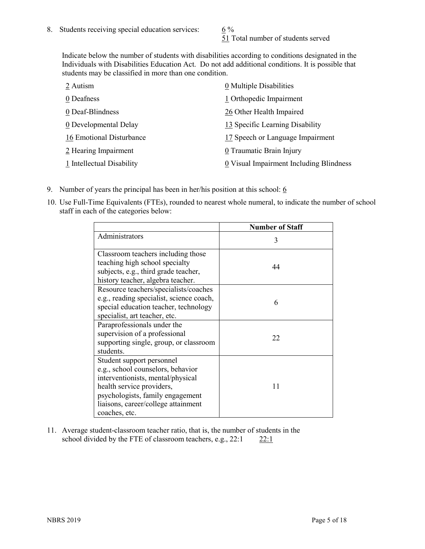51 Total number of students served

Indicate below the number of students with disabilities according to conditions designated in the Individuals with Disabilities Education Act. Do not add additional conditions. It is possible that students may be classified in more than one condition.

| 2 Autism                  | 0 Multiple Disabilities                 |
|---------------------------|-----------------------------------------|
| 0 Deafness                | 1 Orthopedic Impairment                 |
| 0 Deaf-Blindness          | 26 Other Health Impaired                |
| 0 Developmental Delay     | 13 Specific Learning Disability         |
| 16 Emotional Disturbance  | 17 Speech or Language Impairment        |
| 2 Hearing Impairment      | 0 Traumatic Brain Injury                |
| 1 Intellectual Disability | 0 Visual Impairment Including Blindness |

- 9. Number of years the principal has been in her/his position at this school:  $6$
- 10. Use Full-Time Equivalents (FTEs), rounded to nearest whole numeral, to indicate the number of school staff in each of the categories below:

|                                                                                                                                                                                                                              | <b>Number of Staff</b> |
|------------------------------------------------------------------------------------------------------------------------------------------------------------------------------------------------------------------------------|------------------------|
| Administrators                                                                                                                                                                                                               | 3                      |
| Classroom teachers including those<br>teaching high school specialty<br>subjects, e.g., third grade teacher,<br>history teacher, algebra teacher.                                                                            | 44                     |
| Resource teachers/specialists/coaches<br>e.g., reading specialist, science coach,<br>special education teacher, technology<br>specialist, art teacher, etc.                                                                  | 6                      |
| Paraprofessionals under the<br>supervision of a professional<br>supporting single, group, or classroom<br>students.                                                                                                          | 22                     |
| Student support personnel<br>e.g., school counselors, behavior<br>interventionists, mental/physical<br>health service providers,<br>psychologists, family engagement<br>liaisons, career/college attainment<br>coaches, etc. | 11                     |

11. Average student-classroom teacher ratio, that is, the number of students in the school divided by the FTE of classroom teachers, e.g.,  $22:1$  22:1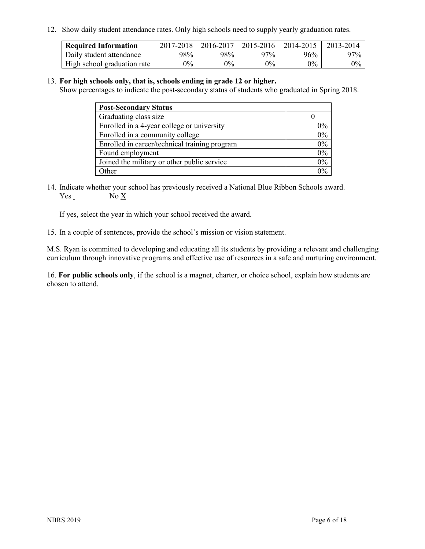12. Show daily student attendance rates. Only high schools need to supply yearly graduation rates.

| <b>Required Information</b> | 2017-2018 | 2016-2017 | $2015 - 2016$ | 2014-2015 | 2013-2014 |
|-----------------------------|-----------|-----------|---------------|-----------|-----------|
| Daily student attendance    | 98%       | 98%       | 97%           | 96%       | $97\%$    |
| High school graduation rate | $0\%$     | $0\%$     | $0\%$         | $9\%$     | $0\%$     |

#### 13. **For high schools only, that is, schools ending in grade 12 or higher.**

Show percentages to indicate the post-secondary status of students who graduated in Spring 2018.

| <b>Post-Secondary Status</b>                  |       |
|-----------------------------------------------|-------|
| Graduating class size                         |       |
| Enrolled in a 4-year college or university    | $0\%$ |
| Enrolled in a community college               | 0%    |
| Enrolled in career/technical training program | $0\%$ |
| Found employment                              | $0\%$ |
| Joined the military or other public service   | $0\%$ |
| Other                                         | $0\%$ |

14. Indicate whether your school has previously received a National Blue Ribbon Schools award. Yes No X

If yes, select the year in which your school received the award.

15. In a couple of sentences, provide the school's mission or vision statement.

M.S. Ryan is committed to developing and educating all its students by providing a relevant and challenging curriculum through innovative programs and effective use of resources in a safe and nurturing environment.

16. **For public schools only**, if the school is a magnet, charter, or choice school, explain how students are chosen to attend.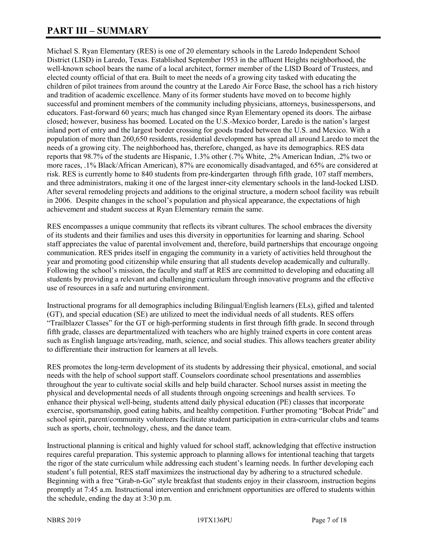# **PART III – SUMMARY**

Michael S. Ryan Elementary (RES) is one of 20 elementary schools in the Laredo Independent School District (LISD) in Laredo, Texas. Established September 1953 in the affluent Heights neighborhood, the well-known school bears the name of a local architect, former member of the LISD Board of Trustees, and elected county official of that era. Built to meet the needs of a growing city tasked with educating the children of pilot trainees from around the country at the Laredo Air Force Base, the school has a rich history and tradition of academic excellence. Many of its former students have moved on to become highly successful and prominent members of the community including physicians, attorneys, businesspersons, and educators. Fast-forward 60 years; much has changed since Ryan Elementary opened its doors. The airbase closed; however, business has boomed. Located on the U.S.-Mexico border, Laredo is the nation's largest inland port of entry and the largest border crossing for goods traded between the U.S. and Mexico. With a population of more than 260,650 residents, residential development has spread all around Laredo to meet the needs of a growing city. The neighborhood has, therefore, changed, as have its demographics. RES data reports that 98.7% of the students are Hispanic, 1.3% other (.7% White, .2% American Indian, .2% two or more races, .1% Black/African American), 87% are economically disadvantaged, and 65% are considered at risk. RES is currently home to 840 students from pre-kindergarten through fifth grade, 107 staff members, and three administrators, making it one of the largest inner-city elementary schools in the land-locked LISD. After several remodeling projects and additions to the original structure, a modern school facility was rebuilt in 2006. Despite changes in the school's population and physical appearance, the expectations of high achievement and student success at Ryan Elementary remain the same.

RES encompasses a unique community that reflects its vibrant cultures. The school embraces the diversity of its students and their families and uses this diversity in opportunities for learning and sharing. School staff appreciates the value of parental involvement and, therefore, build partnerships that encourage ongoing communication. RES prides itself in engaging the community in a variety of activities held throughout the year and promoting good citizenship while ensuring that all students develop academically and culturally. Following the school's mission, the faculty and staff at RES are committed to developing and educating all students by providing a relevant and challenging curriculum through innovative programs and the effective use of resources in a safe and nurturing environment.

Instructional programs for all demographics including Bilingual/English learners (ELs), gifted and talented (GT), and special education (SE) are utilized to meet the individual needs of all students. RES offers "Trailblazer Classes" for the GT or high-performing students in first through fifth grade. In second through fifth grade, classes are departmentalized with teachers who are highly trained experts in core content areas such as English language arts/reading, math, science, and social studies. This allows teachers greater ability to differentiate their instruction for learners at all levels.

RES promotes the long-term development of its students by addressing their physical, emotional, and social needs with the help of school support staff. Counselors coordinate school presentations and assemblies throughout the year to cultivate social skills and help build character. School nurses assist in meeting the physical and developmental needs of all students through ongoing screenings and health services. To enhance their physical well-being, students attend daily physical education (PE) classes that incorporate exercise, sportsmanship, good eating habits, and healthy competition. Further promoting "Bobcat Pride" and school spirit, parent/community volunteers facilitate student participation in extra-curricular clubs and teams such as sports, choir, technology, chess, and the dance team.

Instructional planning is critical and highly valued for school staff, acknowledging that effective instruction requires careful preparation. This systemic approach to planning allows for intentional teaching that targets the rigor of the state curriculum while addressing each student's learning needs. In further developing each student's full potential, RES staff maximizes the instructional day by adhering to a structured schedule. Beginning with a free "Grab-n-Go" style breakfast that students enjoy in their classroom, instruction begins promptly at 7:45 a.m. Instructional intervention and enrichment opportunities are offered to students within the schedule, ending the day at 3:30 p.m.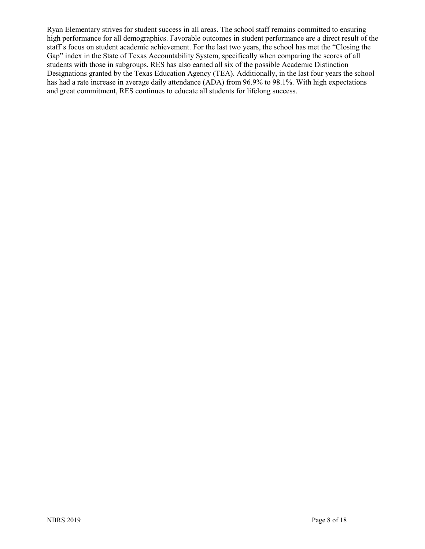Ryan Elementary strives for student success in all areas. The school staff remains committed to ensuring high performance for all demographics. Favorable outcomes in student performance are a direct result of the staff's focus on student academic achievement. For the last two years, the school has met the "Closing the Gap" index in the State of Texas Accountability System, specifically when comparing the scores of all students with those in subgroups. RES has also earned all six of the possible Academic Distinction Designations granted by the Texas Education Agency (TEA). Additionally, in the last four years the school has had a rate increase in average daily attendance (ADA) from 96.9% to 98.1%. With high expectations and great commitment, RES continues to educate all students for lifelong success.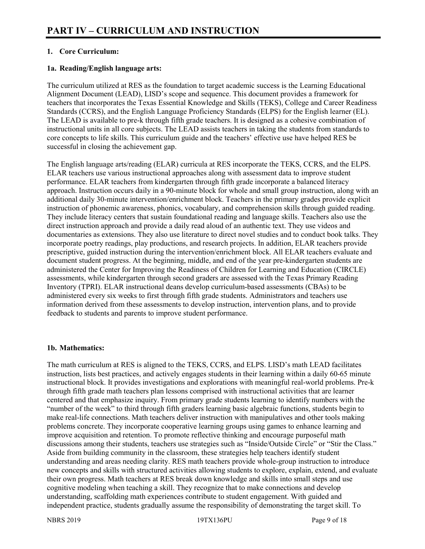# **1. Core Curriculum:**

# **1a. Reading/English language arts:**

The curriculum utilized at RES as the foundation to target academic success is the Learning Educational Alignment Document (LEAD), LISD's scope and sequence. This document provides a framework for teachers that incorporates the Texas Essential Knowledge and Skills (TEKS), College and Career Readiness Standards (CCRS), and the English Language Proficiency Standards (ELPS) for the English learner (EL). The LEAD is available to pre-k through fifth grade teachers. It is designed as a cohesive combination of instructional units in all core subjects. The LEAD assists teachers in taking the students from standards to core concepts to life skills. This curriculum guide and the teachers' effective use have helped RES be successful in closing the achievement gap.

The English language arts/reading (ELAR) curricula at RES incorporate the TEKS, CCRS, and the ELPS. ELAR teachers use various instructional approaches along with assessment data to improve student performance. ELAR teachers from kindergarten through fifth grade incorporate a balanced literacy approach. Instruction occurs daily in a 90-minute block for whole and small group instruction, along with an additional daily 30-minute intervention/enrichment block. Teachers in the primary grades provide explicit instruction of phonemic awareness, phonics, vocabulary, and comprehension skills through guided reading. They include literacy centers that sustain foundational reading and language skills. Teachers also use the direct instruction approach and provide a daily read aloud of an authentic text. They use videos and documentaries as extensions. They also use literature to direct novel studies and to conduct book talks. They incorporate poetry readings, play productions, and research projects. In addition, ELAR teachers provide prescriptive, guided instruction during the intervention/enrichment block. All ELAR teachers evaluate and document student progress. At the beginning, middle, and end of the year pre-kindergarten students are administered the Center for Improving the Readiness of Children for Learning and Education (CIRCLE) assessments, while kindergarten through second graders are assessed with the Texas Primary Reading Inventory (TPRI). ELAR instructional deans develop curriculum-based assessments (CBAs) to be administered every six weeks to first through fifth grade students. Administrators and teachers use information derived from these assessments to develop instruction, intervention plans, and to provide feedback to students and parents to improve student performance.

#### **1b. Mathematics:**

The math curriculum at RES is aligned to the TEKS, CCRS, and ELPS. LISD's math LEAD facilitates instruction, lists best practices, and actively engages students in their learning within a daily 60-65 minute instructional block. It provides investigations and explorations with meaningful real-world problems. Pre-k through fifth grade math teachers plan lessons comprised with instructional activities that are learner centered and that emphasize inquiry. From primary grade students learning to identify numbers with the "number of the week" to third through fifth graders learning basic algebraic functions, students begin to make real-life connections. Math teachers deliver instruction with manipulatives and other tools making problems concrete. They incorporate cooperative learning groups using games to enhance learning and improve acquisition and retention. To promote reflective thinking and encourage purposeful math discussions among their students, teachers use strategies such as "Inside/Outside Circle" or "Stir the Class." Aside from building community in the classroom, these strategies help teachers identify student understanding and areas needing clarity. RES math teachers provide whole-group instruction to introduce new concepts and skills with structured activities allowing students to explore, explain, extend, and evaluate their own progress. Math teachers at RES break down knowledge and skills into small steps and use cognitive modeling when teaching a skill. They recognize that to make connections and develop understanding, scaffolding math experiences contribute to student engagement. With guided and independent practice, students gradually assume the responsibility of demonstrating the target skill. To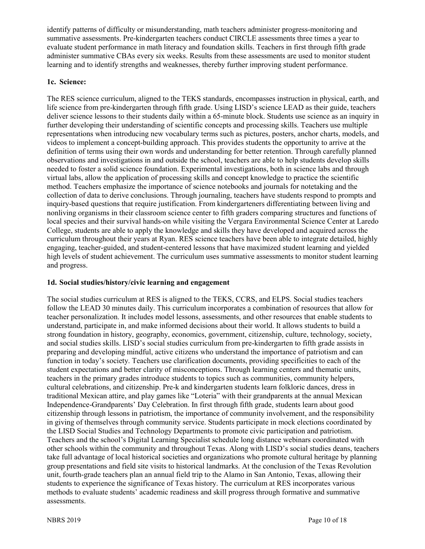identify patterns of difficulty or misunderstanding, math teachers administer progress-monitoring and summative assessments. Pre-kindergarten teachers conduct CIRCLE assessments three times a year to evaluate student performance in math literacy and foundation skills. Teachers in first through fifth grade administer summative CBAs every six weeks. Results from these assessments are used to monitor student learning and to identify strengths and weaknesses, thereby further improving student performance.

# **1c. Science:**

The RES science curriculum, aligned to the TEKS standards, encompasses instruction in physical, earth, and life science from pre-kindergarten through fifth grade. Using LISD's science LEAD as their guide, teachers deliver science lessons to their students daily within a 65-minute block. Students use science as an inquiry in further developing their understanding of scientific concepts and processing skills. Teachers use multiple representations when introducing new vocabulary terms such as pictures, posters, anchor charts, models, and videos to implement a concept-building approach. This provides students the opportunity to arrive at the definition of terms using their own words and understanding for better retention. Through carefully planned observations and investigations in and outside the school, teachers are able to help students develop skills needed to foster a solid science foundation. Experimental investigations, both in science labs and through virtual labs, allow the application of processing skills and concept knowledge to practice the scientific method. Teachers emphasize the importance of science notebooks and journals for notetaking and the collection of data to derive conclusions. Through journaling, teachers have students respond to prompts and inquiry-based questions that require justification. From kindergarteners differentiating between living and nonliving organisms in their classroom science center to fifth graders comparing structures and functions of local species and their survival hands-on while visiting the Vergara Environmental Science Center at Laredo College, students are able to apply the knowledge and skills they have developed and acquired across the curriculum throughout their years at Ryan. RES science teachers have been able to integrate detailed, highly engaging, teacher-guided, and student-centered lessons that have maximized student learning and yielded high levels of student achievement. The curriculum uses summative assessments to monitor student learning and progress.

# **1d. Social studies/history/civic learning and engagement**

The social studies curriculum at RES is aligned to the TEKS, CCRS, and ELPS. Social studies teachers follow the LEAD 30 minutes daily. This curriculum incorporates a combination of resources that allow for teacher personalization. It includes model lessons, assessments, and other resources that enable students to understand, participate in, and make informed decisions about their world. It allows students to build a strong foundation in history, geography, economics, government, citizenship, culture, technology, society, and social studies skills. LISD's social studies curriculum from pre-kindergarten to fifth grade assists in preparing and developing mindful, active citizens who understand the importance of patriotism and can function in today's society. Teachers use clarification documents, providing specificities to each of the student expectations and better clarity of misconceptions. Through learning centers and thematic units, teachers in the primary grades introduce students to topics such as communities, community helpers, cultural celebrations, and citizenship. Pre-k and kindergarten students learn folkloric dances, dress in traditional Mexican attire, and play games like "Loteria" with their grandparents at the annual Mexican Independence-Grandparents' Day Celebration. In first through fifth grade, students learn about good citizenship through lessons in patriotism, the importance of community involvement, and the responsibility in giving of themselves through community service. Students participate in mock elections coordinated by the LISD Social Studies and Technology Departments to promote civic participation and patriotism. Teachers and the school's Digital Learning Specialist schedule long distance webinars coordinated with other schools within the community and throughout Texas. Along with LISD's social studies deans, teachers take full advantage of local historical societies and organizations who promote cultural heritage by planning group presentations and field site visits to historical landmarks. At the conclusion of the Texas Revolution unit, fourth-grade teachers plan an annual field trip to the Alamo in San Antonio, Texas, allowing their students to experience the significance of Texas history. The curriculum at RES incorporates various methods to evaluate students' academic readiness and skill progress through formative and summative assessments.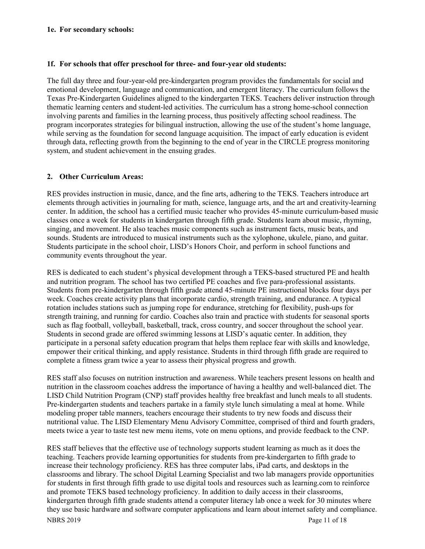#### **1e. For secondary schools:**

#### **1f. For schools that offer preschool for three- and four-year old students:**

The full day three and four-year-old pre-kindergarten program provides the fundamentals for social and emotional development, language and communication, and emergent literacy. The curriculum follows the Texas Pre-Kindergarten Guidelines aligned to the kindergarten TEKS. Teachers deliver instruction through thematic learning centers and student-led activities. The curriculum has a strong home-school connection involving parents and families in the learning process, thus positively affecting school readiness. The program incorporates strategies for bilingual instruction, allowing the use of the student's home language, while serving as the foundation for second language acquisition. The impact of early education is evident through data, reflecting growth from the beginning to the end of year in the CIRCLE progress monitoring system, and student achievement in the ensuing grades.

# **2. Other Curriculum Areas:**

RES provides instruction in music, dance, and the fine arts, adhering to the TEKS. Teachers introduce art elements through activities in journaling for math, science, language arts, and the art and creativity-learning center. In addition, the school has a certified music teacher who provides 45-minute curriculum-based music classes once a week for students in kindergarten through fifth grade. Students learn about music, rhyming, singing, and movement. He also teaches music components such as instrument facts, music beats, and sounds. Students are introduced to musical instruments such as the xylophone, ukulele, piano, and guitar. Students participate in the school choir, LISD's Honors Choir, and perform in school functions and community events throughout the year.

RES is dedicated to each student's physical development through a TEKS-based structured PE and health and nutrition program. The school has two certified PE coaches and five para-professional assistants. Students from pre-kindergarten through fifth grade attend 45-minute PE instructional blocks four days per week. Coaches create activity plans that incorporate cardio, strength training, and endurance. A typical rotation includes stations such as jumping rope for endurance, stretching for flexibility, push-ups for strength training, and running for cardio. Coaches also train and practice with students for seasonal sports such as flag football, volleyball, basketball, track, cross country, and soccer throughout the school year. Students in second grade are offered swimming lessons at LISD's aquatic center. In addition, they participate in a personal safety education program that helps them replace fear with skills and knowledge, empower their critical thinking, and apply resistance. Students in third through fifth grade are required to complete a fitness gram twice a year to assess their physical progress and growth.

RES staff also focuses on nutrition instruction and awareness. While teachers present lessons on health and nutrition in the classroom coaches address the importance of having a healthy and well-balanced diet. The LISD Child Nutrition Program (CNP) staff provides healthy free breakfast and lunch meals to all students. Pre-kindergarten students and teachers partake in a family style lunch simulating a meal at home. While modeling proper table manners, teachers encourage their students to try new foods and discuss their nutritional value. The LISD Elementary Menu Advisory Committee, comprised of third and fourth graders, meets twice a year to taste test new menu items, vote on menu options, and provide feedback to the CNP.

NBRS 2019 Page 11 of 18 RES staff believes that the effective use of technology supports student learning as much as it does the teaching. Teachers provide learning opportunities for students from pre-kindergarten to fifth grade to increase their technology proficiency. RES has three computer labs, iPad carts, and desktops in the classrooms and library. The school Digital Learning Specialist and two lab managers provide opportunities for students in first through fifth grade to use digital tools and resources such as learning.com to reinforce and promote TEKS based technology proficiency. In addition to daily access in their classrooms, kindergarten through fifth grade students attend a computer literacy lab once a week for 30 minutes where they use basic hardware and software computer applications and learn about internet safety and compliance.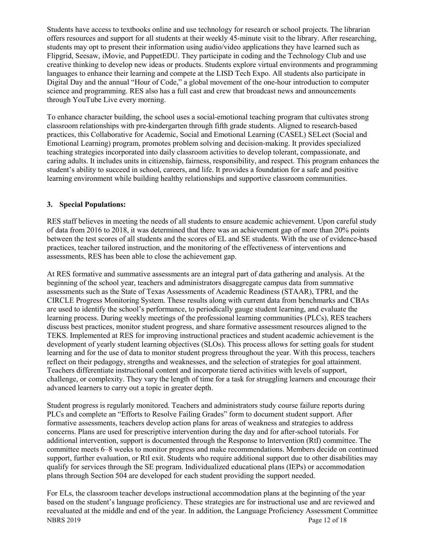Students have access to textbooks online and use technology for research or school projects. The librarian offers resources and support for all students at their weekly 45-minute visit to the library. After researching, students may opt to present their information using audio/video applications they have learned such as Flipgrid, Seesaw, iMovie, and PuppetEDU. They participate in coding and the Technology Club and use creative thinking to develop new ideas or products. Students explore virtual environments and programming languages to enhance their learning and compete at the LISD Tech Expo. All students also participate in Digital Day and the annual "Hour of Code," a global movement of the one-hour introduction to computer science and programming. RES also has a full cast and crew that broadcast news and announcements through YouTube Live every morning.

To enhance character building, the school uses a social-emotional teaching program that cultivates strong classroom relationships with pre-kindergarten through fifth grade students. Aligned to research-based practices, this Collaborative for Academic, Social and Emotional Learning (CASEL) SELect (Social and Emotional Learning) program, promotes problem solving and decision-making. It provides specialized teaching strategies incorporated into daily classroom activities to develop tolerant, compassionate, and caring adults. It includes units in citizenship, fairness, responsibility, and respect. This program enhances the student's ability to succeed in school, careers, and life. It provides a foundation for a safe and positive learning environment while building healthy relationships and supportive classroom communities.

# **3. Special Populations:**

RES staff believes in meeting the needs of all students to ensure academic achievement. Upon careful study of data from 2016 to 2018, it was determined that there was an achievement gap of more than 20% points between the test scores of all students and the scores of EL and SE students. With the use of evidence-based practices, teacher tailored instruction, and the monitoring of the effectiveness of interventions and assessments, RES has been able to close the achievement gap.

At RES formative and summative assessments are an integral part of data gathering and analysis. At the beginning of the school year, teachers and administrators disaggregate campus data from summative assessments such as the State of Texas Assessments of Academic Readiness (STAAR), TPRI, and the CIRCLE Progress Monitoring System. These results along with current data from benchmarks and CBAs are used to identify the school's performance, to periodically gauge student learning, and evaluate the learning process. During weekly meetings of the professional learning communities (PLCs), RES teachers discuss best practices, monitor student progress, and share formative assessment resources aligned to the TEKS. Implemented at RES for improving instructional practices and student academic achievement is the development of yearly student learning objectives (SLOs). This process allows for setting goals for student learning and for the use of data to monitor student progress throughout the year. With this process, teachers reflect on their pedagogy, strengths and weaknesses, and the selection of strategies for goal attainment. Teachers differentiate instructional content and incorporate tiered activities with levels of support, challenge, or complexity. They vary the length of time for a task for struggling learners and encourage their advanced learners to carry out a topic in greater depth.

Student progress is regularly monitored. Teachers and administrators study course failure reports during PLCs and complete an "Efforts to Resolve Failing Grades" form to document student support. After formative assessments, teachers develop action plans for areas of weakness and strategies to address concerns. Plans are used for prescriptive intervention during the day and for after-school tutorials. For additional intervention, support is documented through the Response to Intervention (RtI) committee. The committee meets 6–8 weeks to monitor progress and make recommendations. Members decide on continued support, further evaluation, or RtI exit. Students who require additional support due to other disabilities may qualify for services through the SE program. Individualized educational plans (IEPs) or accommodation plans through Section 504 are developed for each student providing the support needed.

NBRS 2019 Page 12 of 18 For ELs, the classroom teacher develops instructional accommodation plans at the beginning of the year based on the student's language proficiency. These strategies are for instructional use and are reviewed and reevaluated at the middle and end of the year. In addition, the Language Proficiency Assessment Committee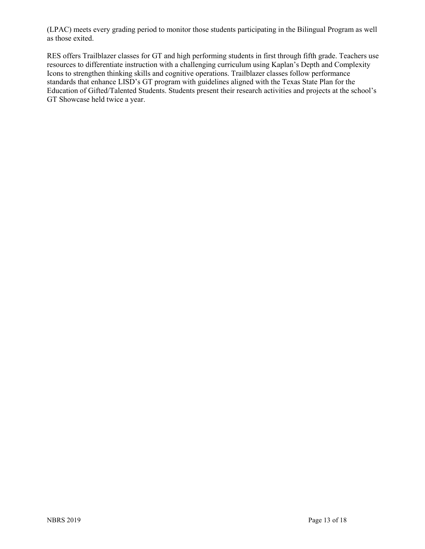(LPAC) meets every grading period to monitor those students participating in the Bilingual Program as well as those exited.

RES offers Trailblazer classes for GT and high performing students in first through fifth grade. Teachers use resources to differentiate instruction with a challenging curriculum using Kaplan's Depth and Complexity Icons to strengthen thinking skills and cognitive operations. Trailblazer classes follow performance standards that enhance LISD's GT program with guidelines aligned with the Texas State Plan for the Education of Gifted/Talented Students. Students present their research activities and projects at the school's GT Showcase held twice a year.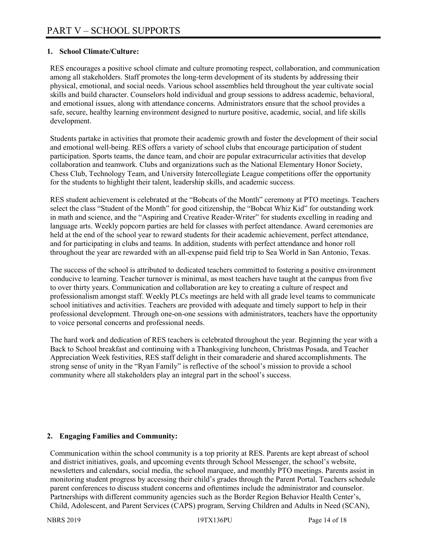# **1. School Climate/Culture:**

RES encourages a positive school climate and culture promoting respect, collaboration, and communication among all stakeholders. Staff promotes the long-term development of its students by addressing their physical, emotional, and social needs. Various school assemblies held throughout the year cultivate social skills and build character. Counselors hold individual and group sessions to address academic, behavioral, and emotional issues, along with attendance concerns. Administrators ensure that the school provides a safe, secure, healthy learning environment designed to nurture positive, academic, social, and life skills development.

Students partake in activities that promote their academic growth and foster the development of their social and emotional well-being. RES offers a variety of school clubs that encourage participation of student participation. Sports teams, the dance team, and choir are popular extracurricular activities that develop collaboration and teamwork. Clubs and organizations such as the National Elementary Honor Society, Chess Club, Technology Team, and University Intercollegiate League competitions offer the opportunity for the students to highlight their talent, leadership skills, and academic success.

RES student achievement is celebrated at the "Bobcats of the Month" ceremony at PTO meetings. Teachers select the class "Student of the Month" for good citizenship, the "Bobcat Whiz Kid" for outstanding work in math and science, and the "Aspiring and Creative Reader-Writer" for students excelling in reading and language arts. Weekly popcorn parties are held for classes with perfect attendance. Award ceremonies are held at the end of the school year to reward students for their academic achievement, perfect attendance, and for participating in clubs and teams. In addition, students with perfect attendance and honor roll throughout the year are rewarded with an all-expense paid field trip to Sea World in San Antonio, Texas.

The success of the school is attributed to dedicated teachers committed to fostering a positive environment conducive to learning. Teacher turnover is minimal, as most teachers have taught at the campus from five to over thirty years. Communication and collaboration are key to creating a culture of respect and professionalism amongst staff. Weekly PLCs meetings are held with all grade level teams to communicate school initiatives and activities. Teachers are provided with adequate and timely support to help in their professional development. Through one-on-one sessions with administrators, teachers have the opportunity to voice personal concerns and professional needs.

The hard work and dedication of RES teachers is celebrated throughout the year. Beginning the year with a Back to School breakfast and continuing with a Thanksgiving luncheon, Christmas Posada, and Teacher Appreciation Week festivities, RES staff delight in their comaraderie and shared accomplishments. The strong sense of unity in the "Ryan Family" is reflective of the school's mission to provide a school community where all stakeholders play an integral part in the school's success.

# **2. Engaging Families and Community:**

Communication within the school community is a top priority at RES. Parents are kept abreast of school and district initiatives, goals, and upcoming events through School Messenger, the school's website, newsletters and calendars, social media, the school marquee, and monthly PTO meetings. Parents assist in monitoring student progress by accessing their child's grades through the Parent Portal. Teachers schedule parent conferences to discuss student concerns and oftentimes include the administrator and counselor. Partnerships with different community agencies such as the Border Region Behavior Health Center's, Child, Adolescent, and Parent Services (CAPS) program, Serving Children and Adults in Need (SCAN),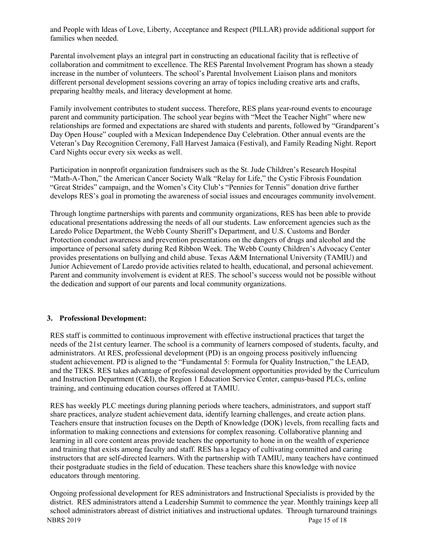and People with Ideas of Love, Liberty, Acceptance and Respect (PILLAR) provide additional support for families when needed.

Parental involvement plays an integral part in constructing an educational facility that is reflective of collaboration and commitment to excellence. The RES Parental Involvement Program has shown a steady increase in the number of volunteers. The school's Parental Involvement Liaison plans and monitors different personal development sessions covering an array of topics including creative arts and crafts, preparing healthy meals, and literacy development at home.

Family involvement contributes to student success. Therefore, RES plans year-round events to encourage parent and community participation. The school year begins with "Meet the Teacher Night" where new relationships are formed and expectations are shared with students and parents, followed by "Grandparent's Day Open House" coupled with a Mexican Independence Day Celebration. Other annual events are the Veteran's Day Recognition Ceremony, Fall Harvest Jamaica (Festival), and Family Reading Night. Report Card Nights occur every six weeks as well.

Participation in nonprofit organization fundraisers such as the St. Jude Children's Research Hospital "Math-A-Thon," the American Cancer Society Walk "Relay for Life," the Cystic Fibrosis Foundation "Great Strides" campaign, and the Women's City Club's "Pennies for Tennis" donation drive further develops RES's goal in promoting the awareness of social issues and encourages community involvement.

Through longtime partnerships with parents and community organizations, RES has been able to provide educational presentations addressing the needs of all our students. Law enforcement agencies such as the Laredo Police Department, the Webb County Sheriff's Department, and U.S. Customs and Border Protection conduct awareness and prevention presentations on the dangers of drugs and alcohol and the importance of personal safety during Red Ribbon Week. The Webb County Children's Advocacy Center provides presentations on bullying and child abuse. Texas A&M International University (TAMIU) and Junior Achievement of Laredo provide activities related to health, educational, and personal achievement. Parent and community involvement is evident at RES. The school's success would not be possible without the dedication and support of our parents and local community organizations.

#### **3. Professional Development:**

RES staff is committed to continuous improvement with effective instructional practices that target the needs of the 21st century learner. The school is a community of learners composed of students, faculty, and administrators. At RES, professional development (PD) is an ongoing process positively influencing student achievement. PD is aligned to the "Fundamental 5: Formula for Quality Instruction," the LEAD, and the TEKS. RES takes advantage of professional development opportunities provided by the Curriculum and Instruction Department (C&I), the Region 1 Education Service Center, campus-based PLCs, online training, and continuing education courses offered at TAMIU.

RES has weekly PLC meetings during planning periods where teachers, administrators, and support staff share practices, analyze student achievement data, identify learning challenges, and create action plans. Teachers ensure that instruction focuses on the Depth of Knowledge (DOK) levels, from recalling facts and information to making connections and extensions for complex reasoning. Collaborative planning and learning in all core content areas provide teachers the opportunity to hone in on the wealth of experience and training that exists among faculty and staff. RES has a legacy of cultivating committed and caring instructors that are self-directed learners. With the partnership with TAMIU, many teachers have continued their postgraduate studies in the field of education. These teachers share this knowledge with novice educators through mentoring.

NBRS 2019 Page 15 of 18 Ongoing professional development for RES administrators and Instructional Specialists is provided by the district. RES administrators attend a Leadership Summit to commence the year. Monthly trainings keep all school administrators abreast of district initiatives and instructional updates. Through turnaround trainings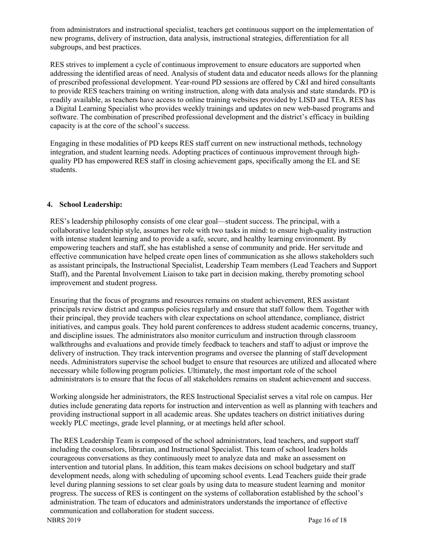from administrators and instructional specialist, teachers get continuous support on the implementation of new programs, delivery of instruction, data analysis, instructional strategies, differentiation for all subgroups, and best practices.

RES strives to implement a cycle of continuous improvement to ensure educators are supported when addressing the identified areas of need. Analysis of student data and educator needs allows for the planning of prescribed professional development. Year-round PD sessions are offered by C&I and hired consultants to provide RES teachers training on writing instruction, along with data analysis and state standards. PD is readily available, as teachers have access to online training websites provided by LISD and TEA. RES has a Digital Learning Specialist who provides weekly trainings and updates on new web-based programs and software. The combination of prescribed professional development and the district's efficacy in building capacity is at the core of the school's success.

Engaging in these modalities of PD keeps RES staff current on new instructional methods, technology integration, and student learning needs. Adopting practices of continuous improvement through highquality PD has empowered RES staff in closing achievement gaps, specifically among the EL and SE students.

# **4. School Leadership:**

RES's leadership philosophy consists of one clear goal—student success. The principal, with a collaborative leadership style, assumes her role with two tasks in mind: to ensure high-quality instruction with intense student learning and to provide a safe, secure, and healthy learning environment. By empowering teachers and staff, she has established a sense of community and pride. Her servitude and effective communication have helped create open lines of communication as she allows stakeholders such as assistant principals, the Instructional Specialist, Leadership Team members (Lead Teachers and Support Staff), and the Parental Involvement Liaison to take part in decision making, thereby promoting school improvement and student progress.

Ensuring that the focus of programs and resources remains on student achievement, RES assistant principals review district and campus policies regularly and ensure that staff follow them. Together with their principal, they provide teachers with clear expectations on school attendance, compliance, district initiatives, and campus goals. They hold parent conferences to address student academic concerns, truancy, and discipline issues. The administrators also monitor curriculum and instruction through classroom walkthroughs and evaluations and provide timely feedback to teachers and staff to adjust or improve the delivery of instruction. They track intervention programs and oversee the planning of staff development needs. Administrators supervise the school budget to ensure that resources are utilized and allocated where necessary while following program policies. Ultimately, the most important role of the school administrators is to ensure that the focus of all stakeholders remains on student achievement and success.

Working alongside her administrators, the RES Instructional Specialist serves a vital role on campus. Her duties include generating data reports for instruction and intervention as well as planning with teachers and providing instructional support in all academic areas. She updates teachers on district initiatives during weekly PLC meetings, grade level planning, or at meetings held after school.

The RES Leadership Team is composed of the school administrators, lead teachers, and support staff including the counselors, librarian, and Instructional Specialist. This team of school leaders holds courageous conversations as they continuously meet to analyze data and make an assessment on intervention and tutorial plans. In addition, this team makes decisions on school budgetary and staff development needs, along with scheduling of upcoming school events. Lead Teachers guide their grade level during planning sessions to set clear goals by using data to measure student learning and monitor progress. The success of RES is contingent on the systems of collaboration established by the school's administration. The team of educators and administrators understands the importance of effective communication and collaboration for student success.